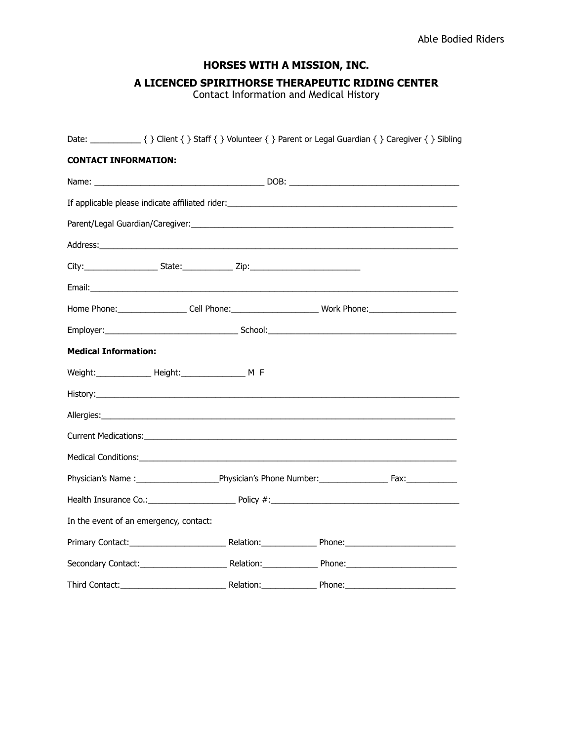## **HORSES WITH A MISSION, INC.**

## **A LICENCED SPIRITHORSE THERAPEUTIC RIDING CENTER**

Contact Information and Medical History

| <b>CONTACT INFORMATION:</b>            |                  |                                                                                                      |  |
|----------------------------------------|------------------|------------------------------------------------------------------------------------------------------|--|
|                                        |                  |                                                                                                      |  |
|                                        |                  |                                                                                                      |  |
|                                        |                  |                                                                                                      |  |
|                                        |                  |                                                                                                      |  |
|                                        |                  |                                                                                                      |  |
|                                        |                  |                                                                                                      |  |
|                                        |                  | Home Phone:_____________________Cell Phone:_________________________Work Phone:_____________________ |  |
|                                        |                  |                                                                                                      |  |
| <b>Medical Information:</b>            |                  |                                                                                                      |  |
|                                        |                  |                                                                                                      |  |
|                                        |                  |                                                                                                      |  |
|                                        |                  |                                                                                                      |  |
|                                        |                  |                                                                                                      |  |
|                                        |                  |                                                                                                      |  |
|                                        |                  |                                                                                                      |  |
|                                        |                  |                                                                                                      |  |
| In the event of an emergency, contact: |                  |                                                                                                      |  |
|                                        |                  |                                                                                                      |  |
|                                        |                  |                                                                                                      |  |
| Third Contact:                         | Relation: Phone: |                                                                                                      |  |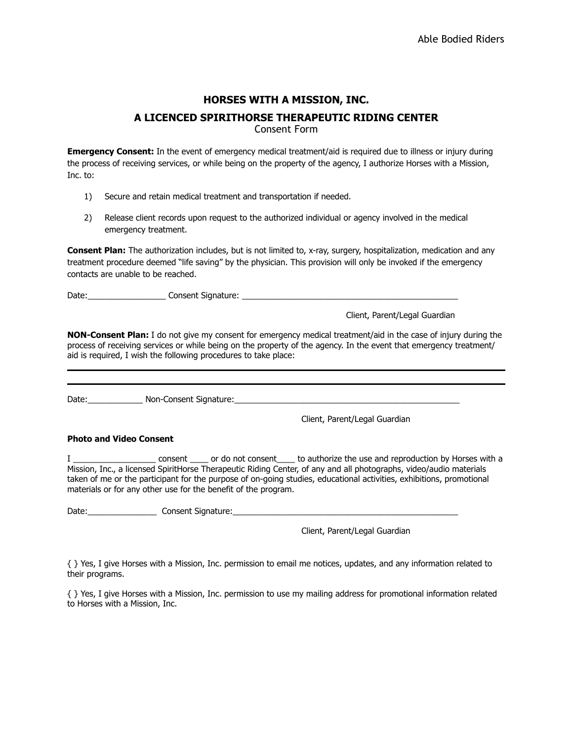# **HORSES WITH A MISSION, INC. A LICENCED SPIRITHORSE THERAPEUTIC RIDING CENTER**

Consent Form

**Emergency Consent:** In the event of emergency medical treatment/aid is required due to illness or injury during the process of receiving services, or while being on the property of the agency, I authorize Horses with a Mission, Inc. to:

- 1) Secure and retain medical treatment and transportation if needed.
- 2) Release client records upon request to the authorized individual or agency involved in the medical emergency treatment.

**Consent Plan:** The authorization includes, but is not limited to, x-ray, surgery, hospitalization, medication and any treatment procedure deemed "life saving" by the physician. This provision will only be invoked if the emergency contacts are unable to be reached.

Date: \_\_\_\_\_\_\_\_\_\_\_\_\_\_\_\_\_\_\_\_\_\_\_\_ Consent Signature: \_\_\_\_\_\_\_\_\_\_\_\_\_\_\_\_\_\_\_\_\_\_\_\_\_\_\_\_\_\_

Client, Parent/Legal Guardian

**NON-Consent Plan:** I do not give my consent for emergency medical treatment/aid in the case of injury during the process of receiving services or while being on the property of the agency. In the event that emergency treatment/ aid is required, I wish the following procedures to take place:

Date: Non-Consent Signature:  $\Box$ 

Client, Parent/Legal Guardian

#### **Photo and Video Consent**

I \_\_\_\_\_\_\_\_\_\_\_\_\_\_\_\_\_\_ consent \_\_\_\_ or do not consent\_\_\_\_ to authorize the use and reproduction by Horses with a Mission, Inc., a licensed SpiritHorse Therapeutic Riding Center, of any and all photographs, video/audio materials taken of me or the participant for the purpose of on-going studies, educational activities, exhibitions, promotional materials or for any other use for the benefit of the program.

Date:\_\_\_\_\_\_\_\_\_\_\_\_\_\_\_\_\_\_\_\_\_\_\_\_\_\_\_\_\_\_Consent Signature:\_\_\_\_\_\_\_\_\_\_\_\_\_\_\_\_\_\_\_\_\_\_\_\_\_\_\_

Client, Parent/Legal Guardian

{ } Yes, I give Horses with a Mission, Inc. permission to email me notices, updates, and any information related to their programs.

{ } Yes, I give Horses with a Mission, Inc. permission to use my mailing address for promotional information related to Horses with a Mission, Inc.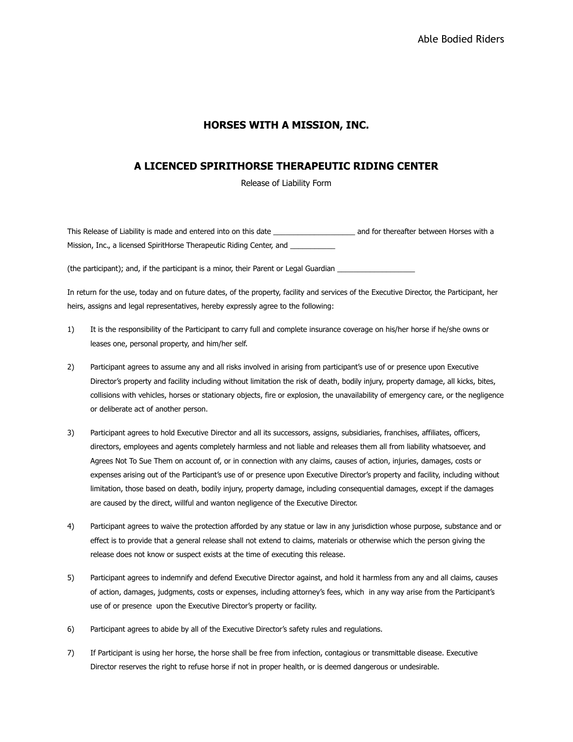### **HORSES WITH A MISSION, INC.**

## **A LICENCED SPIRITHORSE THERAPEUTIC RIDING CENTER**

Release of Liability Form

This Release of Liability is made and entered into on this date \_\_\_\_\_\_\_\_\_\_\_\_\_\_\_\_\_\_\_\_ and for thereafter between Horses with a Mission, Inc., a licensed SpiritHorse Therapeutic Riding Center, and

(the participant); and, if the participant is a minor, their Parent or Legal Guardian \_\_\_\_\_\_\_\_\_\_\_\_\_\_\_\_\_\_\_

In return for the use, today and on future dates, of the property, facility and services of the Executive Director, the Participant, her heirs, assigns and legal representatives, hereby expressly agree to the following:

- 1) It is the responsibility of the Participant to carry full and complete insurance coverage on his/her horse if he/she owns or leases one, personal property, and him/her self.
- 2) Participant agrees to assume any and all risks involved in arising from participant's use of or presence upon Executive Director's property and facility including without limitation the risk of death, bodily injury, property damage, all kicks, bites, collisions with vehicles, horses or stationary objects, fire or explosion, the unavailability of emergency care, or the negligence or deliberate act of another person.
- 3) Participant agrees to hold Executive Director and all its successors, assigns, subsidiaries, franchises, affiliates, officers, directors, employees and agents completely harmless and not liable and releases them all from liability whatsoever, and Agrees Not To Sue Them on account of, or in connection with any claims, causes of action, injuries, damages, costs or expenses arising out of the Participant's use of or presence upon Executive Director's property and facility, including without limitation, those based on death, bodily injury, property damage, including consequential damages, except if the damages are caused by the direct, willful and wanton negligence of the Executive Director.
- 4) Participant agrees to waive the protection afforded by any statue or law in any jurisdiction whose purpose, substance and or effect is to provide that a general release shall not extend to claims, materials or otherwise which the person giving the release does not know or suspect exists at the time of executing this release.
- 5) Participant agrees to indemnify and defend Executive Director against, and hold it harmless from any and all claims, causes of action, damages, judgments, costs or expenses, including attorney's fees, which in any way arise from the Participant's use of or presence upon the Executive Director's property or facility.
- 6) Participant agrees to abide by all of the Executive Director's safety rules and regulations.
- 7) If Participant is using her horse, the horse shall be free from infection, contagious or transmittable disease. Executive Director reserves the right to refuse horse if not in proper health, or is deemed dangerous or undesirable.